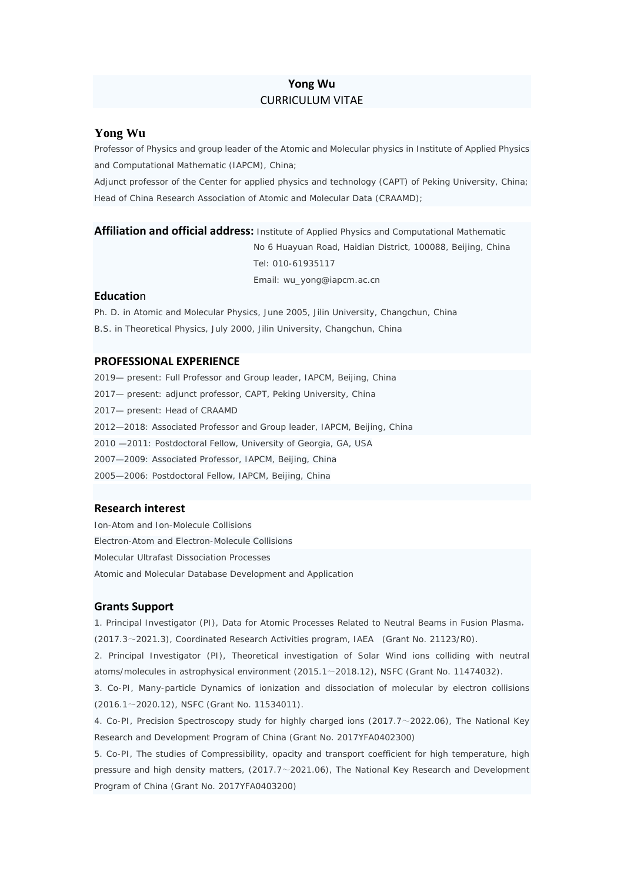# **Yong Wu** CURRICULUM VITAE

### **Yong Wu**

Professor of Physics and group leader of the Atomic and Molecular physics in Institute of Applied Physics and Computational Mathematic (IAPCM), China;

Adjunct professor of the Center for applied physics and technology (CAPT) of Peking University, China; Head of China Research Association of Atomic and Molecular Data (CRAAMD);

**Affiliation and official address:** Institute of Applied Physics and Computational Mathematic No 6 Huayuan Road, Haidian District, 100088, Beijing, China Tel: 010-61935117 Email: wu\_yong@iapcm.ac.cn

### **Educatio**n

Ph. D. in Atomic and Molecular Physics, June 2005, Jilin University, Changchun, China B.S. in Theoretical Physics, July 2000, Jilin University, Changchun, China

## **PROFESSIONAL EXPERIENCE**

2019— present: Full Professor and Group leader, IAPCM, Beijing, China 2017— present: adjunct professor, CAPT, Peking University, China 2017— present: Head of CRAAMD 2012—2018: Associated Professor and Group leader, IAPCM, Beijing, China 2010 —2011: Postdoctoral Fellow, University of Georgia, GA, USA 2007—2009: Associated Professor, IAPCM, Beijing, China 2005—2006: Postdoctoral Fellow, IAPCM, Beijing, China

## **Research interest**

Ion-Atom and Ion-Molecule Collisions Electron-Atom and Electron-Molecule Collisions Molecular Ultrafast Dissociation Processes Atomic and Molecular Database Development and Application

#### **Grants Support**

1. Principal Investigator (PI), Data for Atomic Processes Related to Neutral Beams in Fusion Plasma, (2017.3~2021.3), Coordinated Research Activities program, IAEA (Grant No. 21123/R0).

2. Principal Investigator (PI), Theoretical investigation of Solar Wind ions colliding with neutral atoms/molecules in astrophysical environment (2015.1~2018.12), NSFC (Grant No. 11474032).

3. Co-PI, Many-particle Dynamics of ionization and dissociation of molecular by electron collisions (2016.1~2020.12), NSFC (Grant No. 11534011).

4. Co-PI, Precision Spectroscopy study for highly charged ions (2017.7~2022.06), The National Key Research and Development Program of China (Grant No. 2017YFA0402300)

5. Co-PI, The studies of Compressibility, opacity and transport coefficient for high temperature, high pressure and high density matters, (2017.7~2021.06), The National Key Research and Development Program of China (Grant No. 2017YFA0403200)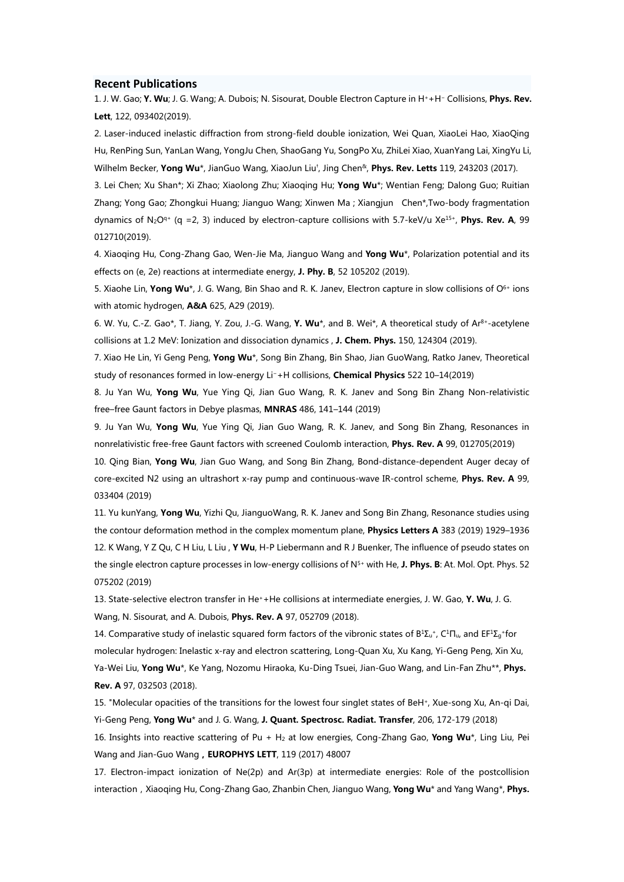#### **Recent Publications**

1. J. W. Gao; Y. Wu; J. G. Wang; A. Dubois; N. Sisourat, Double Electron Capture in H++H− Collisions, Phys. Rev. Lett, 122, 093402(2019).

2. Laser-induced inelastic diffraction from strong-field double ionization, Wei Quan, XiaoLei Hao, XiaoQing Hu, RenPing Sun, YanLan Wang, YongJu Chen, ShaoGang Yu, SongPo Xu, ZhiLei Xiao, XuanYang Lai, XingYu Li, Wilhelm Becker, Yong Wu\*, JianGuo Wang, XiaoJun Liu†, Jing Chen&, Phys. Rev. Letts 119, 243203 (2017).

3. Lei Chen; Xu Shan\*; Xi Zhao; Xiaolong Zhu; Xiaoqing Hu; Yong Wu\*; Wentian Feng; Dalong Guo; Ruitian Zhang; Yong Gao; Zhongkui Huang; Jianguo Wang; Xinwen Ma ; Xiangjun Chen\*,Two-body fragmentation dynamics of N<sub>2</sub>O<sup>q+</sup> (q = 2, 3) induced by electron-capture collisions with 5.7-keV/u Xe<sup>15+</sup>, Phys. Rev. A, 99 012710(2019).

4. Xiaoqing Hu, Cong-Zhang Gao, Wen-Jie Ma, Jianguo Wang and Yong Wu\*, Polarization potential and its effects on (e, 2e) reactions at intermediate energy, J. Phy. B, 52 105202 (2019).

5. Xiaohe Lin, Yong Wu\*, J. G. Wang, Bin Shao and R. K. Janev, Electron capture in slow collisions of O<sup>6+</sup> ions with atomic hydrogen, A&A 625, A29 (2019).

6. W. Yu, C.-Z. Gao\*, T. Jiang, Y. Zou, J.-G. Wang, Y. Wu\*, and B. Wei\*, A theoretical study of Ar8+-acetylene collisions at 1.2 MeV: Ionization and dissociation dynamics , J. Chem. Phys. 150, 124304 (2019).

7. Xiao He Lin, Yi Geng Peng, Yong Wu\*, Song Bin Zhang, Bin Shao, Jian GuoWang, Ratko Janev, Theoretical study of resonances formed in low-energy Li−+H collisions, Chemical Physics 522 10–14(2019)

8. Ju Yan Wu, Yong Wu, Yue Ying Qi, Jian Guo Wang, R. K. Janev and Song Bin Zhang Non-relativistic free–free Gaunt factors in Debye plasmas, MNRAS 486, 141–144 (2019)

9. Ju Yan Wu, Yong Wu, Yue Ying Qi, Jian Guo Wang, R. K. Janev, and Song Bin Zhang, Resonances in nonrelativistic free-free Gaunt factors with screened Coulomb interaction, Phys. Rev. A 99, 012705(2019)

10. Qing Bian, Yong Wu, Jian Guo Wang, and Song Bin Zhang, Bond-distance-dependent Auger decay of core-excited N2 using an ultrashort x-ray pump and continuous-wave IR-control scheme, **Phys. Rev. A** 99, 033404 (2019)

11. Yu kunYang, Yong Wu, Yizhi Qu, JianguoWang, R. K. Janev and Song Bin Zhang, Resonance studies using the contour deformation method in the complex momentum plane, Physics Letters A 383 (2019) 1929-1936 12. K Wang, Y Z Ou, C H Liu, L Liu, Y Wu, H-P Liebermann and R J Buenker. The influence of pseudo states on the single electron capture processes in low-energy collisions of N<sup>5+</sup> with He, J. Phys. B: At. Mol. Opt. Phys. 52 075202 (2019)

13. State-selective electron transfer in He<sup>+</sup>+He collisions at intermediate energies, J. W. Gao, Y. Wu, J. G. Wang, N. Sisourat, and A. Dubois, Phys. Rev. A 97, 052709 (2018).

14. Comparative study of inelastic squared form factors of the vibronic states of  $B^1\Sigma_u{}^+$ , C $^1\Pi_u$ , and EF $^1\Sigma_q{}^+$ for molecular hydrogen: Inelastic x-ray and electron scattering, Long-Quan Xu, Xu Kang, Yi-Geng Peng, Xin Xu, Ya-Wei Liu, Yong Wu\*, Ke Yang, Nozomu Hiraoka, Ku-Ding Tsuei, Jian-Guo Wang, and Lin-Fan Zhu\*\*, Phys. Rev. A 97, 032503 (2018).

15. "Molecular opacities of the transitions for the lowest four singlet states of BeH+, Xue-song Xu, An-qi Dai, Yi-Geng Peng, Yong Wu\* and J. G. Wang, J. Quant. Spectrosc. Radiat. Transfer, 206, 172-179 (2018) 16. Insights into reactive scattering of Pu + H<sub>2</sub> at low energies, Cong-Zhang Gao, Yong Wu\*, Ling Liu, Pei Wang and Jian-Guo Wang, EUROPHYS LETT, 119 (2017) 48007

17. Electron-impact ionization of Ne(2p) and Ar(3p) at intermediate energies: Role of the postcollision interaction, Xiaoqing Hu, Cong-Zhang Gao, Zhanbin Chen, Jianguo Wang, Yong Wu\* and Yang Wang\*, Phys.